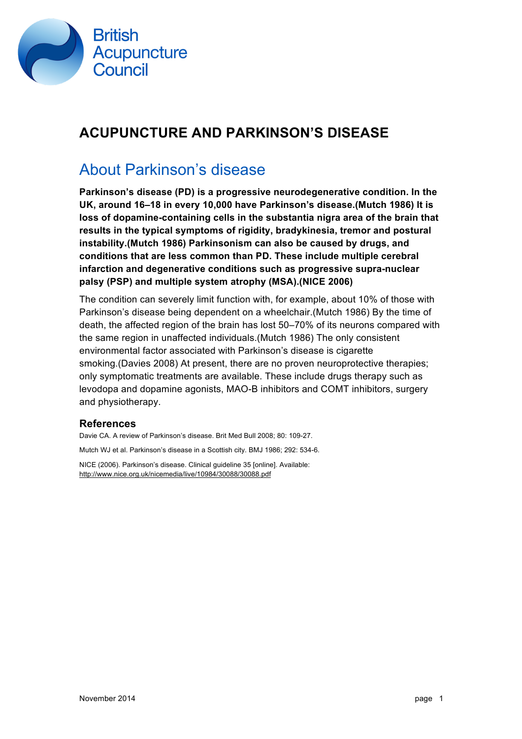

#### **ACUPUNCTURE AND PARKINSON'S DISEASE**

#### About Parkinson's disease

**Parkinson's disease (PD) is a progressive neurodegenerative condition. In the UK, around 16–18 in every 10,000 have Parkinson's disease.(Mutch 1986) It is loss of dopamine-containing cells in the substantia nigra area of the brain that results in the typical symptoms of rigidity, bradykinesia, tremor and postural instability.(Mutch 1986) Parkinsonism can also be caused by drugs, and conditions that are less common than PD. These include multiple cerebral infarction and degenerative conditions such as progressive supra-nuclear palsy (PSP) and multiple system atrophy (MSA).(NICE 2006)**

The condition can severely limit function with, for example, about 10% of those with Parkinson's disease being dependent on a wheelchair.(Mutch 1986) By the time of death, the affected region of the brain has lost 50–70% of its neurons compared with the same region in unaffected individuals.(Mutch 1986) The only consistent environmental factor associated with Parkinson's disease is cigarette smoking.(Davies 2008) At present, there are no proven neuroprotective therapies; only symptomatic treatments are available. These include drugs therapy such as levodopa and dopamine agonists, MAO-B inhibitors and COMT inhibitors, surgery and physiotherapy.

#### **References**

Davie CA. A review of Parkinson's disease. Brit Med Bull 2008; 80: 109-27.

Mutch WJ et al. Parkinson's disease in a Scottish city. BMJ 1986; 292: 534-6.

NICE (2006). Parkinson's disease. Clinical guideline 35 [online]. Available: http://www.nice.org.uk/nicemedia/live/10984/30088/30088.pdf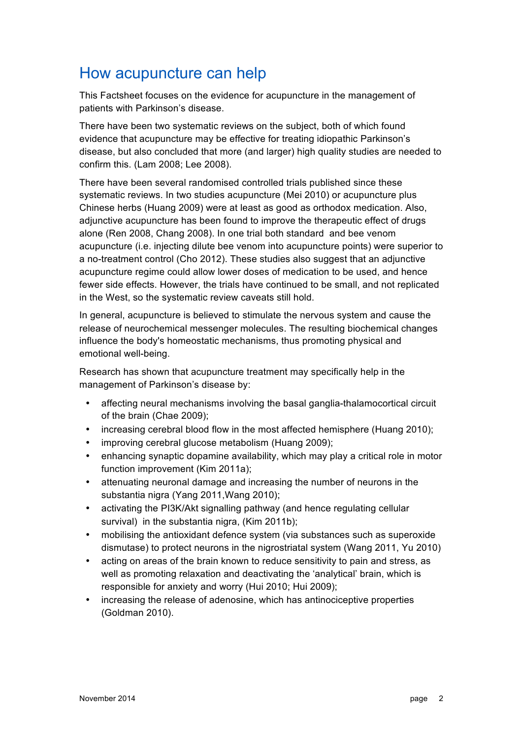## How acupuncture can help

This Factsheet focuses on the evidence for acupuncture in the management of patients with Parkinson's disease.

There have been two systematic reviews on the subject, both of which found evidence that acupuncture may be effective for treating idiopathic Parkinson's disease, but also concluded that more (and larger) high quality studies are needed to confirm this. (Lam 2008; Lee 2008).

There have been several randomised controlled trials published since these systematic reviews. In two studies acupuncture (Mei 2010) or acupuncture plus Chinese herbs (Huang 2009) were at least as good as orthodox medication. Also, adjunctive acupuncture has been found to improve the therapeutic effect of drugs alone (Ren 2008, Chang 2008). In one trial both standard and bee venom acupuncture (i.e. injecting dilute bee venom into acupuncture points) were superior to a no-treatment control (Cho 2012). These studies also suggest that an adjunctive acupuncture regime could allow lower doses of medication to be used, and hence fewer side effects. However, the trials have continued to be small, and not replicated in the West, so the systematic review caveats still hold.

In general, acupuncture is believed to stimulate the nervous system and cause the release of neurochemical messenger molecules. The resulting biochemical changes influence the body's homeostatic mechanisms, thus promoting physical and emotional well-being.

Research has shown that acupuncture treatment may specifically help in the management of Parkinson's disease by:

- affecting neural mechanisms involving the basal ganglia-thalamocortical circuit of the brain (Chae 2009);
- increasing cerebral blood flow in the most affected hemisphere (Huang 2010);
- improving cerebral glucose metabolism (Huang 2009);
- enhancing synaptic dopamine availability, which may play a critical role in motor function improvement (Kim 2011a);
- attenuating neuronal damage and increasing the number of neurons in the substantia nigra (Yang 2011,Wang 2010);
- activating the PI3K/Akt signalling pathway (and hence regulating cellular survival) in the substantia nigra, (Kim 2011b);
- mobilising the antioxidant defence system (via substances such as superoxide dismutase) to protect neurons in the nigrostriatal system (Wang 2011, Yu 2010)
- acting on areas of the brain known to reduce sensitivity to pain and stress, as well as promoting relaxation and deactivating the 'analytical' brain, which is responsible for anxiety and worry (Hui 2010; Hui 2009);
- increasing the release of adenosine, which has antinociceptive properties (Goldman 2010).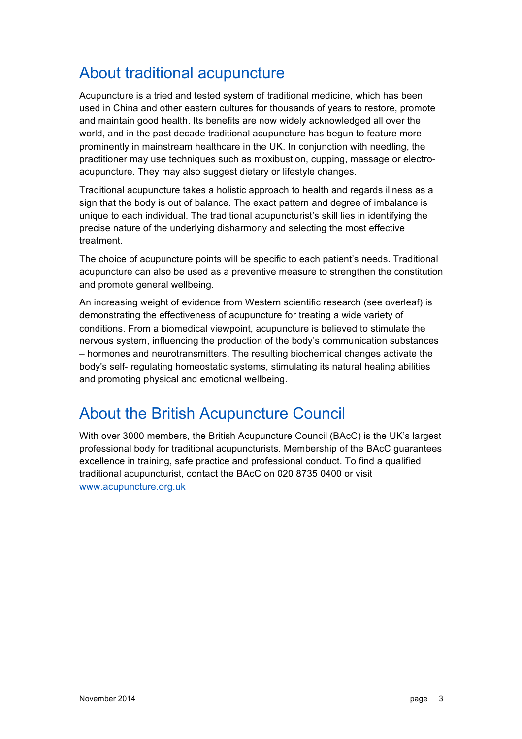## About traditional acupuncture

Acupuncture is a tried and tested system of traditional medicine, which has been used in China and other eastern cultures for thousands of years to restore, promote and maintain good health. Its benefits are now widely acknowledged all over the world, and in the past decade traditional acupuncture has begun to feature more prominently in mainstream healthcare in the UK. In conjunction with needling, the practitioner may use techniques such as moxibustion, cupping, massage or electroacupuncture. They may also suggest dietary or lifestyle changes.

Traditional acupuncture takes a holistic approach to health and regards illness as a sign that the body is out of balance. The exact pattern and degree of imbalance is unique to each individual. The traditional acupuncturist's skill lies in identifying the precise nature of the underlying disharmony and selecting the most effective treatment.

The choice of acupuncture points will be specific to each patient's needs. Traditional acupuncture can also be used as a preventive measure to strengthen the constitution and promote general wellbeing.

An increasing weight of evidence from Western scientific research (see overleaf) is demonstrating the effectiveness of acupuncture for treating a wide variety of conditions. From a biomedical viewpoint, acupuncture is believed to stimulate the nervous system, influencing the production of the body's communication substances – hormones and neurotransmitters. The resulting biochemical changes activate the body's self- regulating homeostatic systems, stimulating its natural healing abilities and promoting physical and emotional wellbeing.

## About the British Acupuncture Council

With over 3000 members, the British Acupuncture Council (BAcC) is the UK's largest professional body for traditional acupuncturists. Membership of the BAcC guarantees excellence in training, safe practice and professional conduct. To find a qualified traditional acupuncturist, contact the BAcC on 020 8735 0400 or visit www.acupuncture.org.uk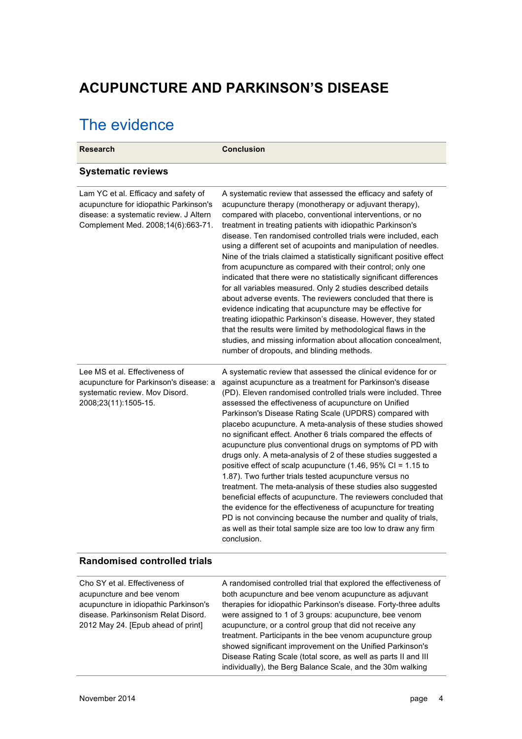#### **ACUPUNCTURE AND PARKINSON'S DISEASE**

# The evidence

| <b>Research</b>                                                                                                                                                                   | <b>Conclusion</b>                                                                                                                                                                                                                                                                                                                                                                                                                                                                                                                                                                                                                                                                                                                                                                                                                                                                                                                                                                                                                                                     |
|-----------------------------------------------------------------------------------------------------------------------------------------------------------------------------------|-----------------------------------------------------------------------------------------------------------------------------------------------------------------------------------------------------------------------------------------------------------------------------------------------------------------------------------------------------------------------------------------------------------------------------------------------------------------------------------------------------------------------------------------------------------------------------------------------------------------------------------------------------------------------------------------------------------------------------------------------------------------------------------------------------------------------------------------------------------------------------------------------------------------------------------------------------------------------------------------------------------------------------------------------------------------------|
| <b>Systematic reviews</b>                                                                                                                                                         |                                                                                                                                                                                                                                                                                                                                                                                                                                                                                                                                                                                                                                                                                                                                                                                                                                                                                                                                                                                                                                                                       |
| Lam YC et al. Efficacy and safety of<br>acupuncture for idiopathic Parkinson's<br>disease: a systematic review. J Altern<br>Complement Med. 2008;14(6):663-71.                    | A systematic review that assessed the efficacy and safety of<br>acupuncture therapy (monotherapy or adjuvant therapy),<br>compared with placebo, conventional interventions, or no<br>treatment in treating patients with idiopathic Parkinson's<br>disease. Ten randomised controlled trials were included, each<br>using a different set of acupoints and manipulation of needles.<br>Nine of the trials claimed a statistically significant positive effect<br>from acupuncture as compared with their control; only one<br>indicated that there were no statistically significant differences<br>for all variables measured. Only 2 studies described details<br>about adverse events. The reviewers concluded that there is<br>evidence indicating that acupuncture may be effective for<br>treating idiopathic Parkinson's disease. However, they stated<br>that the results were limited by methodological flaws in the<br>studies, and missing information about allocation concealment,<br>number of dropouts, and blinding methods.                         |
| Lee MS et al. Effectiveness of<br>acupuncture for Parkinson's disease: a<br>systematic review. Mov Disord.<br>2008;23(11):1505-15.                                                | A systematic review that assessed the clinical evidence for or<br>against acupuncture as a treatment for Parkinson's disease<br>(PD). Eleven randomised controlled trials were included. Three<br>assessed the effectiveness of acupuncture on Unified<br>Parkinson's Disease Rating Scale (UPDRS) compared with<br>placebo acupuncture. A meta-analysis of these studies showed<br>no significant effect. Another 6 trials compared the effects of<br>acupuncture plus conventional drugs on symptoms of PD with<br>drugs only. A meta-analysis of 2 of these studies suggested a<br>positive effect of scalp acupuncture (1.46, 95% CI = 1.15 to<br>1.87). Two further trials tested acupuncture versus no<br>treatment. The meta-analysis of these studies also suggested<br>beneficial effects of acupuncture. The reviewers concluded that<br>the evidence for the effectiveness of acupuncture for treating<br>PD is not convincing because the number and quality of trials,<br>as well as their total sample size are too low to draw any firm<br>conclusion. |
| <b>Randomised controlled trials</b>                                                                                                                                               |                                                                                                                                                                                                                                                                                                                                                                                                                                                                                                                                                                                                                                                                                                                                                                                                                                                                                                                                                                                                                                                                       |
| Cho SY et al. Effectiveness of<br>acupuncture and bee venom<br>acupuncture in idiopathic Parkinson's<br>disease. Parkinsonism Relat Disord.<br>2012 May 24. [Epub ahead of print] | A randomised controlled trial that explored the effectiveness of<br>both acupuncture and bee venom acupuncture as adjuvant<br>therapies for idiopathic Parkinson's disease. Forty-three adults<br>were assigned to 1 of 3 groups: acupuncture, bee venom<br>acupuncture, or a control group that did not receive any<br>treatment. Participants in the bee venom acupuncture group<br>showed significant improvement on the Unified Parkinson's<br>Disease Rating Scale (total score, as well as parts II and III<br>individually), the Berg Balance Scale, and the 30m walking                                                                                                                                                                                                                                                                                                                                                                                                                                                                                       |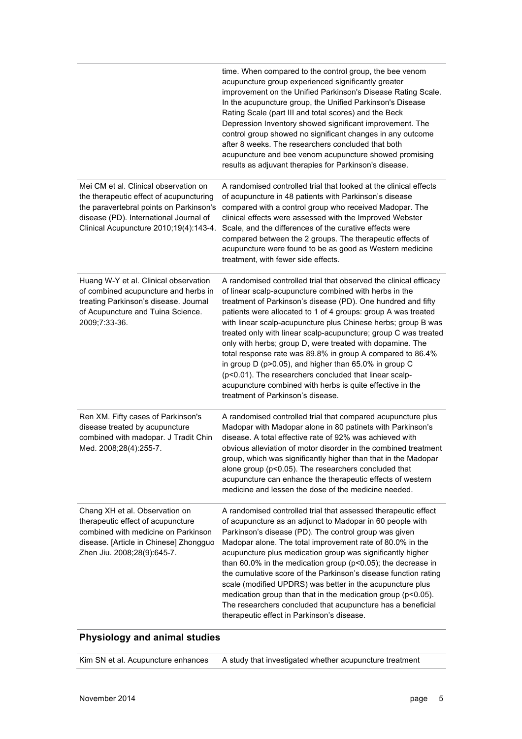|                                                                                                                                                                                                                 | time. When compared to the control group, the bee venom<br>acupuncture group experienced significantly greater<br>improvement on the Unified Parkinson's Disease Rating Scale.<br>In the acupuncture group, the Unified Parkinson's Disease<br>Rating Scale (part III and total scores) and the Beck<br>Depression Inventory showed significant improvement. The<br>control group showed no significant changes in any outcome<br>after 8 weeks. The researchers concluded that both<br>acupuncture and bee venom acupuncture showed promising<br>results as adjuvant therapies for Parkinson's disease.                                                                                                                                         |
|-----------------------------------------------------------------------------------------------------------------------------------------------------------------------------------------------------------------|--------------------------------------------------------------------------------------------------------------------------------------------------------------------------------------------------------------------------------------------------------------------------------------------------------------------------------------------------------------------------------------------------------------------------------------------------------------------------------------------------------------------------------------------------------------------------------------------------------------------------------------------------------------------------------------------------------------------------------------------------|
| Mei CM et al. Clinical observation on<br>the therapeutic effect of acupuncturing<br>the paravertebral points on Parkinson's<br>disease (PD). International Journal of<br>Clinical Acupuncture 2010;19(4):143-4. | A randomised controlled trial that looked at the clinical effects<br>of acupuncture in 48 patients with Parkinson's disease<br>compared with a control group who received Madopar. The<br>clinical effects were assessed with the Improved Webster<br>Scale, and the differences of the curative effects were<br>compared between the 2 groups. The therapeutic effects of<br>acupuncture were found to be as good as Western medicine<br>treatment, with fewer side effects.                                                                                                                                                                                                                                                                    |
| Huang W-Y et al. Clinical observation<br>of combined acupuncture and herbs in<br>treating Parkinson's disease. Journal<br>of Acupuncture and Tuina Science.<br>2009;7:33-36.                                    | A randomised controlled trial that observed the clinical efficacy<br>of linear scalp-acupuncture combined with herbs in the<br>treatment of Parkinson's disease (PD). One hundred and fifty<br>patients were allocated to 1 of 4 groups: group A was treated<br>with linear scalp-acupuncture plus Chinese herbs; group B was<br>treated only with linear scalp-acupuncture; group C was treated<br>only with herbs; group D, were treated with dopamine. The<br>total response rate was 89.8% in group A compared to 86.4%<br>in group D (p>0.05), and higher than 65.0% in group C<br>(p<0.01). The researchers concluded that linear scalp-<br>acupuncture combined with herbs is quite effective in the<br>treatment of Parkinson's disease. |
| Ren XM. Fifty cases of Parkinson's<br>disease treated by acupuncture<br>combined with madopar. J Tradit Chin<br>Med. 2008;28(4):255-7.                                                                          | A randomised controlled trial that compared acupuncture plus<br>Madopar with Madopar alone in 80 patinets with Parkinson's<br>disease. A total effective rate of 92% was achieved with<br>obvious alleviation of motor disorder in the combined treatment<br>group, which was significantly higher than that in the Madopar<br>alone group (p<0.05). The researchers concluded that<br>acupuncture can enhance the therapeutic effects of western<br>medicine and lessen the dose of the medicine needed.                                                                                                                                                                                                                                        |
| Chang XH et al. Observation on<br>therapeutic effect of acupuncture<br>combined with medicine on Parkinson<br>disease. [Article in Chinese] Zhongguo<br>Zhen Jiu. 2008;28(9):645-7.                             | A randomised controlled trial that assessed therapeutic effect<br>of acupuncture as an adjunct to Madopar in 60 people with<br>Parkinson's disease (PD). The control group was given<br>Madopar alone. The total improvement rate of 80.0% in the<br>acupuncture plus medication group was significantly higher<br>than 60.0% in the medication group ( $p$ <0.05); the decrease in<br>the cumulative score of the Parkinson's disease function rating<br>scale (modified UPDRS) was better in the acupuncture plus<br>medication group than that in the medication group (p<0.05).<br>The researchers concluded that acupuncture has a beneficial<br>therapeutic effect in Parkinson's disease.                                                 |

#### **Physiology and animal studies**

Kim SN et al. Acupuncture enhances A study that investigated whether acupuncture treatment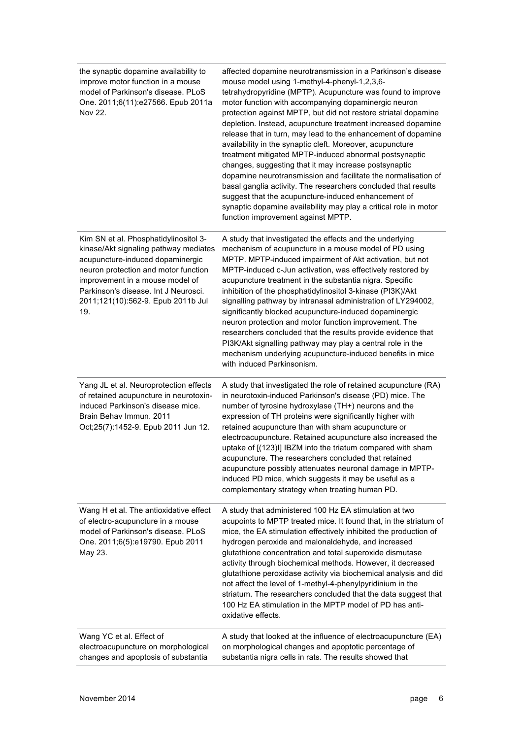| the synaptic dopamine availability to<br>improve motor function in a mouse<br>model of Parkinson's disease. PLoS<br>One. 2011;6(11):e27566. Epub 2011a<br>Nov 22.                                                                                                                  | affected dopamine neurotransmission in a Parkinson's disease<br>mouse model using 1-methyl-4-phenyl-1,2,3,6-<br>tetrahydropyridine (MPTP). Acupuncture was found to improve<br>motor function with accompanying dopaminergic neuron<br>protection against MPTP, but did not restore striatal dopamine<br>depletion. Instead, acupuncture treatment increased dopamine<br>release that in turn, may lead to the enhancement of dopamine<br>availability in the synaptic cleft. Moreover, acupuncture<br>treatment mitigated MPTP-induced abnormal postsynaptic<br>changes, suggesting that it may increase postsynaptic<br>dopamine neurotransmission and facilitate the normalisation of<br>basal ganglia activity. The researchers concluded that results<br>suggest that the acupuncture-induced enhancement of<br>synaptic dopamine availability may play a critical role in motor<br>function improvement against MPTP. |
|------------------------------------------------------------------------------------------------------------------------------------------------------------------------------------------------------------------------------------------------------------------------------------|-----------------------------------------------------------------------------------------------------------------------------------------------------------------------------------------------------------------------------------------------------------------------------------------------------------------------------------------------------------------------------------------------------------------------------------------------------------------------------------------------------------------------------------------------------------------------------------------------------------------------------------------------------------------------------------------------------------------------------------------------------------------------------------------------------------------------------------------------------------------------------------------------------------------------------|
| Kim SN et al. Phosphatidylinositol 3-<br>kinase/Akt signaling pathway mediates<br>acupuncture-induced dopaminergic<br>neuron protection and motor function<br>improvement in a mouse model of<br>Parkinson's disease. Int J Neurosci.<br>2011;121(10):562-9. Epub 2011b Jul<br>19. | A study that investigated the effects and the underlying<br>mechanism of acupuncture in a mouse model of PD using<br>MPTP. MPTP-induced impairment of Akt activation, but not<br>MPTP-induced c-Jun activation, was effectively restored by<br>acupuncture treatment in the substantia nigra. Specific<br>inhibition of the phosphatidylinositol 3-kinase (PI3K)/Akt<br>signalling pathway by intranasal administration of LY294002,<br>significantly blocked acupuncture-induced dopaminergic<br>neuron protection and motor function improvement. The<br>researchers concluded that the results provide evidence that<br>PI3K/Akt signalling pathway may play a central role in the<br>mechanism underlying acupuncture-induced benefits in mice<br>with induced Parkinsonism.                                                                                                                                            |
| Yang JL et al. Neuroprotection effects<br>of retained acupuncture in neurotoxin-<br>induced Parkinson's disease mice.<br>Brain Behav Immun. 2011<br>Oct;25(7):1452-9. Epub 2011 Jun 12.                                                                                            | A study that investigated the role of retained acupuncture (RA)<br>in neurotoxin-induced Parkinson's disease (PD) mice. The<br>number of tyrosine hydroxylase (TH+) neurons and the<br>expression of TH proteins were significantly higher with<br>retained acupuncture than with sham acupuncture or<br>electroacupuncture. Retained acupuncture also increased the<br>uptake of [(123)I] IBZM into the triatum compared with sham<br>acupuncture. The researchers concluded that retained<br>acupuncture possibly attenuates neuronal damage in MPTP-<br>induced PD mice, which suggests it may be useful as a<br>complementary strategy when treating human PD.                                                                                                                                                                                                                                                          |
| Wang H et al. The antioxidative effect<br>of electro-acupuncture in a mouse<br>model of Parkinson's disease. PLoS<br>One. 2011;6(5):e19790. Epub 2011<br>May 23.                                                                                                                   | A study that administered 100 Hz EA stimulation at two<br>acupoints to MPTP treated mice. It found that, in the striatum of<br>mice, the EA stimulation effectively inhibited the production of<br>hydrogen peroxide and malonaldehyde, and increased<br>glutathione concentration and total superoxide dismutase<br>activity through biochemical methods. However, it decreased<br>glutathione peroxidase activity via biochemical analysis and did<br>not affect the level of 1-methyl-4-phenylpyridinium in the<br>striatum. The researchers concluded that the data suggest that<br>100 Hz EA stimulation in the MPTP model of PD has anti-<br>oxidative effects.                                                                                                                                                                                                                                                       |
| Wang YC et al. Effect of<br>electroacupuncture on morphological<br>changes and apoptosis of substantia                                                                                                                                                                             | A study that looked at the influence of electroacupuncture (EA)<br>on morphological changes and apoptotic percentage of<br>substantia nigra cells in rats. The results showed that                                                                                                                                                                                                                                                                                                                                                                                                                                                                                                                                                                                                                                                                                                                                          |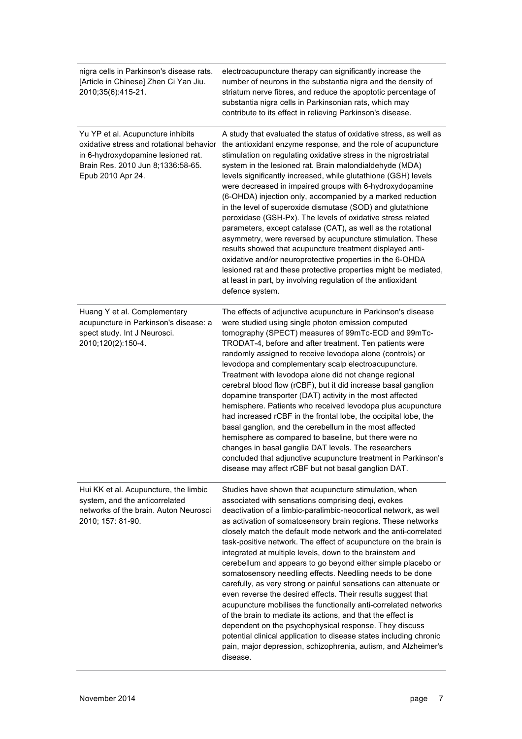| nigra cells in Parkinson's disease rats.<br>[Article in Chinese] Zhen Ci Yan Jiu.<br>2010;35(6):415-21.                                                                       | electroacupuncture therapy can significantly increase the<br>number of neurons in the substantia nigra and the density of<br>striatum nerve fibres, and reduce the apoptotic percentage of<br>substantia nigra cells in Parkinsonian rats, which may<br>contribute to its effect in relieving Parkinson's disease.                                                                                                                                                                                                                                                                                                                                                                                                                                                                                                                                                                                                                                                                                                                                                 |
|-------------------------------------------------------------------------------------------------------------------------------------------------------------------------------|--------------------------------------------------------------------------------------------------------------------------------------------------------------------------------------------------------------------------------------------------------------------------------------------------------------------------------------------------------------------------------------------------------------------------------------------------------------------------------------------------------------------------------------------------------------------------------------------------------------------------------------------------------------------------------------------------------------------------------------------------------------------------------------------------------------------------------------------------------------------------------------------------------------------------------------------------------------------------------------------------------------------------------------------------------------------|
| Yu YP et al. Acupuncture inhibits<br>oxidative stress and rotational behavior<br>in 6-hydroxydopamine lesioned rat.<br>Brain Res. 2010 Jun 8;1336:58-65.<br>Epub 2010 Apr 24. | A study that evaluated the status of oxidative stress, as well as<br>the antioxidant enzyme response, and the role of acupuncture<br>stimulation on regulating oxidative stress in the nigrostriatal<br>system in the lesioned rat. Brain malondialdehyde (MDA)<br>levels significantly increased, while glutathione (GSH) levels<br>were decreased in impaired groups with 6-hydroxydopamine<br>(6-OHDA) injection only, accompanied by a marked reduction<br>in the level of superoxide dismutase (SOD) and glutathione<br>peroxidase (GSH-Px). The levels of oxidative stress related<br>parameters, except catalase (CAT), as well as the rotational<br>asymmetry, were reversed by acupuncture stimulation. These<br>results showed that acupuncture treatment displayed anti-<br>oxidative and/or neuroprotective properties in the 6-OHDA<br>lesioned rat and these protective properties might be mediated,<br>at least in part, by involving regulation of the antioxidant<br>defence system.                                                             |
| Huang Y et al. Complementary<br>acupuncture in Parkinson's disease: a<br>spect study. Int J Neurosci.<br>2010;120(2):150-4.                                                   | The effects of adjunctive acupuncture in Parkinson's disease<br>were studied using single photon emission computed<br>tomography (SPECT) measures of 99mTc-ECD and 99mTc-<br>TRODAT-4, before and after treatment. Ten patients were<br>randomly assigned to receive levodopa alone (controls) or<br>levodopa and complementary scalp electroacupuncture.<br>Treatment with levodopa alone did not change regional<br>cerebral blood flow (rCBF), but it did increase basal ganglion<br>dopamine transporter (DAT) activity in the most affected<br>hemisphere. Patients who received levodopa plus acupuncture<br>had increased rCBF in the frontal lobe, the occipital lobe, the<br>basal ganglion, and the cerebellum in the most affected<br>hemisphere as compared to baseline, but there were no<br>changes in basal ganglia DAT levels. The researchers<br>concluded that adjunctive acupuncture treatment in Parkinson's<br>disease may affect rCBF but not basal ganglion DAT.                                                                            |
| Hui KK et al. Acupuncture, the limbic<br>system, and the anticorrelated<br>networks of the brain. Auton Neurosci<br>2010; 157: 81-90.                                         | Studies have shown that acupuncture stimulation, when<br>associated with sensations comprising deqi, evokes<br>deactivation of a limbic-paralimbic-neocortical network, as well<br>as activation of somatosensory brain regions. These networks<br>closely match the default mode network and the anti-correlated<br>task-positive network. The effect of acupuncture on the brain is<br>integrated at multiple levels, down to the brainstem and<br>cerebellum and appears to go beyond either simple placebo or<br>somatosensory needling effects. Needling needs to be done<br>carefully, as very strong or painful sensations can attenuate or<br>even reverse the desired effects. Their results suggest that<br>acupuncture mobilises the functionally anti-correlated networks<br>of the brain to mediate its actions, and that the effect is<br>dependent on the psychophysical response. They discuss<br>potential clinical application to disease states including chronic<br>pain, major depression, schizophrenia, autism, and Alzheimer's<br>disease. |